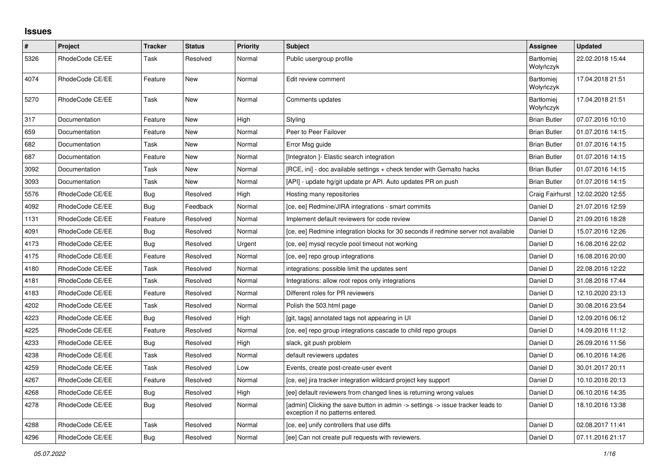## **Issues**

| $\sharp$ | Project         | <b>Tracker</b> | <b>Status</b> | <b>Priority</b> | <b>Subject</b>                                                                                                       | Assignee                       | <b>Updated</b>   |
|----------|-----------------|----------------|---------------|-----------------|----------------------------------------------------------------------------------------------------------------------|--------------------------------|------------------|
| 5326     | RhodeCode CE/EE | Task           | Resolved      | Normal          | Public usergroup profile                                                                                             | <b>Bartłomiei</b><br>Wołyńczyk | 22.02.2018 15:44 |
| 4074     | RhodeCode CE/EE | Feature        | <b>New</b>    | Normal          | Edit review comment                                                                                                  | <b>Bartłomiei</b><br>Wołyńczyk | 17.04.2018 21:51 |
| 5270     | RhodeCode CE/EE | Task           | New           | Normal          | Comments updates                                                                                                     | <b>Bartłomiei</b><br>Wołyńczyk | 17.04.2018 21:51 |
| 317      | Documentation   | Feature        | <b>New</b>    | High            | Styling                                                                                                              | <b>Brian Butler</b>            | 07.07.2016 10:10 |
| 659      | Documentation   | Feature        | New           | Normal          | Peer to Peer Failover                                                                                                | <b>Brian Butler</b>            | 01.07.2016 14:15 |
| 682      | Documentation   | Task           | New           | Normal          | Error Msg guide                                                                                                      | <b>Brian Butler</b>            | 01.07.2016 14:15 |
| 687      | Documentation   | Feature        | New           | Normal          | [Integraton] - Elastic search integration                                                                            | <b>Brian Butler</b>            | 01.07.2016 14:15 |
| 3092     | Documentation   | Task           | New           | Normal          | [RCE, ini] - doc available settings + check tender with Gemalto hacks                                                | <b>Brian Butler</b>            | 01.07.2016 14:15 |
| 3093     | Documentation   | Task           | New           | Normal          | [API] - update hg/git update pr API. Auto updates PR on push                                                         | <b>Brian Butler</b>            | 01.07.2016 14:15 |
| 5576     | RhodeCode CE/EE | Bug            | Resolved      | High            | Hosting many repositories                                                                                            | Craig Fairhurst                | 12.02.2020 12:55 |
| 4092     | RhodeCode CE/EE | Bug            | Feedback      | Normal          | [ce, ee] Redmine/JIRA integrations - smart commits                                                                   | Daniel D                       | 21.07.2016 12:59 |
| 1131     | RhodeCode CE/EE | Feature        | Resolved      | Normal          | Implement default reviewers for code review                                                                          | Daniel D                       | 21.09.2016 18:28 |
| 4091     | RhodeCode CE/EE | <b>Bug</b>     | Resolved      | Normal          | [ce, ee] Redmine integration blocks for 30 seconds if redmine server not available                                   | Daniel D                       | 15.07.2016 12:26 |
| 4173     | RhodeCode CE/EE | Bug            | Resolved      | Urgent          | [ce, ee] mysql recycle pool timeout not working                                                                      | Daniel D                       | 16.08.2016 22:02 |
| 4175     | RhodeCode CE/EE | Feature        | Resolved      | Normal          | [ce, ee] repo group integrations                                                                                     | Daniel D                       | 16.08.2016 20:00 |
| 4180     | RhodeCode CE/EE | Task           | Resolved      | Normal          | integrations: possible limit the updates sent                                                                        | Daniel D                       | 22.08.2016 12:22 |
| 4181     | RhodeCode CE/EE | Task           | Resolved      | Normal          | Integrations: allow root repos only integrations                                                                     | Daniel D                       | 31.08.2016 17:44 |
| 4183     | RhodeCode CE/EE | Feature        | Resolved      | Normal          | Different roles for PR reviewers                                                                                     | Daniel D                       | 12.10.2020 23:13 |
| 4202     | RhodeCode CE/EE | Task           | Resolved      | Normal          | Polish the 503.html page                                                                                             | Daniel D                       | 30.08.2016 23:54 |
| 4223     | RhodeCode CE/EE | Bug            | Resolved      | High            | [git, tags] annotated tags not appearing in UI                                                                       | Daniel D                       | 12.09.2016 06:12 |
| 4225     | RhodeCode CE/EE | Feature        | Resolved      | Normal          | [ce, ee] repo group integrations cascade to child repo groups                                                        | Daniel D                       | 14.09.2016 11:12 |
| 4233     | RhodeCode CE/EE | Bug            | Resolved      | High            | slack, git push problem                                                                                              | Daniel D                       | 26.09.2016 11:56 |
| 4238     | RhodeCode CE/EE | Task           | Resolved      | Normal          | default reviewers updates                                                                                            | Daniel D                       | 06.10.2016 14:26 |
| 4259     | RhodeCode CE/EE | Task           | Resolved      | Low             | Events, create post-create-user event                                                                                | Daniel D                       | 30.01.2017 20:11 |
| 4267     | RhodeCode CE/EE | Feature        | Resolved      | Normal          | [ce, ee] jira tracker integration wildcard project key support                                                       | Daniel D                       | 10.10.2016 20:13 |
| 4268     | RhodeCode CE/EE | Bug            | Resolved      | High            | [ee] default reviewers from changed lines is returning wrong values                                                  | Daniel D                       | 06.10.2016 14:35 |
| 4278     | RhodeCode CE/EE | <b>Bug</b>     | Resolved      | Normal          | [admin] Clicking the save button in admin -> settings -> issue tracker leads to<br>exception if no patterns entered. | Daniel D                       | 18.10.2016 13:38 |
| 4288     | RhodeCode CE/EE | Task           | Resolved      | Normal          | [ce, ee] unify controllers that use diffs                                                                            | Daniel D                       | 02.08.2017 11:41 |
| 4296     | RhodeCode CE/EE | Bug            | Resolved      | Normal          | [ee] Can not create pull requests with reviewers.                                                                    | Daniel D                       | 07.11.2016 21:17 |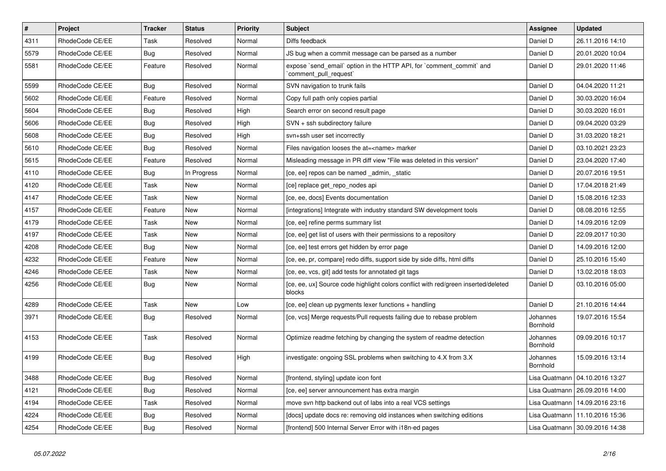| $\pmb{\#}$ | Project         | <b>Tracker</b> | <b>Status</b> | <b>Priority</b> | <b>Subject</b>                                                                                 | <b>Assignee</b>             | <b>Updated</b>                   |
|------------|-----------------|----------------|---------------|-----------------|------------------------------------------------------------------------------------------------|-----------------------------|----------------------------------|
| 4311       | RhodeCode CE/EE | Task           | Resolved      | Normal          | Diffs feedback                                                                                 | Daniel D                    | 26.11.2016 14:10                 |
| 5579       | RhodeCode CE/EE | Bug            | Resolved      | Normal          | JS bug when a commit message can be parsed as a number                                         | Daniel D                    | 20.01.2020 10:04                 |
| 5581       | RhodeCode CE/EE | Feature        | Resolved      | Normal          | expose `send_email` option in the HTTP API, for `comment_commit` and<br>'comment_pull_request' | Daniel D                    | 29.01.2020 11:46                 |
| 5599       | RhodeCode CE/EE | Bug            | Resolved      | Normal          | SVN navigation to trunk fails                                                                  | Daniel D                    | 04.04.2020 11:21                 |
| 5602       | RhodeCode CE/EE | Feature        | Resolved      | Normal          | Copy full path only copies partial                                                             | Daniel D                    | 30.03.2020 16:04                 |
| 5604       | RhodeCode CE/EE | <b>Bug</b>     | Resolved      | High            | Search error on second result page                                                             | Daniel D                    | 30.03.2020 16:01                 |
| 5606       | RhodeCode CE/EE | <b>Bug</b>     | Resolved      | High            | SVN + ssh subdirectory failure                                                                 | Daniel D                    | 09.04.2020 03:29                 |
| 5608       | RhodeCode CE/EE | <b>Bug</b>     | Resolved      | High            | svn+ssh user set incorrectly                                                                   | Daniel D                    | 31.03.2020 18:21                 |
| 5610       | RhodeCode CE/EE | Bug            | Resolved      | Normal          | Files navigation looses the at= <name> marker</name>                                           | Daniel D                    | 03.10.2021 23:23                 |
| 5615       | RhodeCode CE/EE | Feature        | Resolved      | Normal          | Misleading message in PR diff view "File was deleted in this version"                          | Daniel D                    | 23.04.2020 17:40                 |
| 4110       | RhodeCode CE/EE | Bug            | In Progress   | Normal          | [ce, ee] repos can be named admin, static                                                      | Daniel D                    | 20.07.2016 19:51                 |
| 4120       | RhodeCode CE/EE | Task           | New           | Normal          | [ce] replace get_repo_nodes api                                                                | Daniel D                    | 17.04.2018 21:49                 |
| 4147       | RhodeCode CE/EE | Task           | New           | Normal          | [ce, ee, docs] Events documentation                                                            | Daniel D                    | 15.08.2016 12:33                 |
| 4157       | RhodeCode CE/EE | Feature        | New           | Normal          | [integrations] Integrate with industry standard SW development tools                           | Daniel D                    | 08.08.2016 12:55                 |
| 4179       | RhodeCode CE/EE | Task           | New           | Normal          | [ce, ee] refine perms summary list                                                             | Daniel D                    | 14.09.2016 12:09                 |
| 4197       | RhodeCode CE/EE | Task           | <b>New</b>    | Normal          | [ce, ee] get list of users with their permissions to a repository                              | Daniel D                    | 22.09.2017 10:30                 |
| 4208       | RhodeCode CE/EE | Bug            | New           | Normal          | [ce, ee] test errors get hidden by error page                                                  | Daniel D                    | 14.09.2016 12:00                 |
| 4232       | RhodeCode CE/EE | Feature        | <b>New</b>    | Normal          | [ce, ee, pr, compare] redo diffs, support side by side diffs, html diffs                       | Daniel D                    | 25.10.2016 15:40                 |
| 4246       | RhodeCode CE/EE | Task           | New           | Normal          | [ce, ee, vcs, git] add tests for annotated git tags                                            | Daniel D                    | 13.02.2018 18:03                 |
| 4256       | RhodeCode CE/EE | Bug            | New           | Normal          | [ce, ee, ux] Source code highlight colors conflict with red/green inserted/deleted<br>blocks   | Daniel D                    | 03.10.2016 05:00                 |
| 4289       | RhodeCode CE/EE | Task           | New           | Low             | [ce, ee] clean up pygments lexer functions + handling                                          | Daniel D                    | 21.10.2016 14:44                 |
| 3971       | RhodeCode CE/EE | Bug            | Resolved      | Normal          | [ce, vcs] Merge requests/Pull requests failing due to rebase problem                           | Johannes<br>Bornhold        | 19.07.2016 15:54                 |
| 4153       | RhodeCode CE/EE | Task           | Resolved      | Normal          | Optimize readme fetching by changing the system of readme detection                            | Johannes<br>Bornhold        | 09.09.2016 10:17                 |
| 4199       | RhodeCode CE/EE | Bug            | Resolved      | High            | investigate: ongoing SSL problems when switching to 4.X from 3.X                               | Johannes<br><b>Bornhold</b> | 15.09.2016 13:14                 |
| 3488       | RhodeCode CE/EE | Bug            | Resolved      | Normal          | [frontend, styling] update icon font                                                           |                             | Lisa Quatmann   04.10.2016 13:27 |
| 4121       | RhodeCode CE/EE | Bug            | Resolved      | Normal          | [ce, ee] server announcement has extra margin                                                  |                             | Lisa Quatmann   26.09.2016 14:00 |
| 4194       | RhodeCode CE/EE | Task           | Resolved      | Normal          | move svn http backend out of labs into a real VCS settings                                     | Lisa Quatmann               | 14.09.2016 23:16                 |
| 4224       | RhodeCode CE/EE | Bug            | Resolved      | Normal          | [docs] update docs re: removing old instances when switching editions                          |                             | Lisa Quatmann   11.10.2016 15:36 |
| 4254       | RhodeCode CE/EE | Bug            | Resolved      | Normal          | [frontend] 500 Internal Server Error with i18n-ed pages                                        |                             | Lisa Quatmann   30.09.2016 14:38 |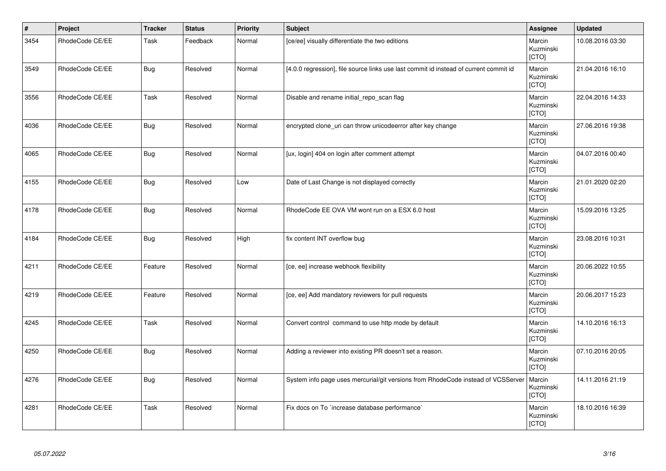| $\vert$ # | Project         | <b>Tracker</b> | <b>Status</b> | <b>Priority</b> | Subject                                                                               | <b>Assignee</b>              | <b>Updated</b>   |
|-----------|-----------------|----------------|---------------|-----------------|---------------------------------------------------------------------------------------|------------------------------|------------------|
| 3454      | RhodeCode CE/EE | Task           | Feedback      | Normal          | [ce/ee] visually differentiate the two editions                                       | Marcin<br>Kuzminski<br>[CTO] | 10.08.2016 03:30 |
| 3549      | RhodeCode CE/EE | <b>Bug</b>     | Resolved      | Normal          | [4.0.0 regression], file source links use last commit id instead of current commit id | Marcin<br>Kuzminski<br>[CTO] | 21.04.2016 16:10 |
| 3556      | RhodeCode CE/EE | Task           | Resolved      | Normal          | Disable and rename initial repo scan flag                                             | Marcin<br>Kuzminski<br>[CTO] | 22.04.2016 14:33 |
| 4036      | RhodeCode CE/EE | <b>Bug</b>     | Resolved      | Normal          | encrypted clone uri can throw unicodeerror after key change                           | Marcin<br>Kuzminski<br>[CTO] | 27.06.2016 19:38 |
| 4065      | RhodeCode CE/EE | <b>Bug</b>     | Resolved      | Normal          | [ux, login] 404 on login after comment attempt                                        | Marcin<br>Kuzminski<br>[CTO] | 04.07.2016 00:40 |
| 4155      | RhodeCode CE/EE | Bug            | Resolved      | Low             | Date of Last Change is not displayed correctly                                        | Marcin<br>Kuzminski<br>[CTO] | 21.01.2020 02:20 |
| 4178      | RhodeCode CE/EE | Bug            | Resolved      | Normal          | RhodeCode EE OVA VM wont run on a ESX 6.0 host                                        | Marcin<br>Kuzminski<br>[CTO] | 15.09.2016 13:25 |
| 4184      | RhodeCode CE/EE | <b>Bug</b>     | Resolved      | High            | fix content INT overflow bug                                                          | Marcin<br>Kuzminski<br>[CTO] | 23.08.2016 10:31 |
| 4211      | RhodeCode CE/EE | Feature        | Resolved      | Normal          | [ce, ee] increase webhook flexibility                                                 | Marcin<br>Kuzminski<br>[CTO] | 20.06.2022 10:55 |
| 4219      | RhodeCode CE/EE | Feature        | Resolved      | Normal          | [ce, ee] Add mandatory reviewers for pull requests                                    | Marcin<br>Kuzminski<br>[CTO] | 20.06.2017 15:23 |
| 4245      | RhodeCode CE/EE | Task           | Resolved      | Normal          | Convert control command to use http mode by default                                   | Marcin<br>Kuzminski<br>[CTO] | 14.10.2016 16:13 |
| 4250      | RhodeCode CE/EE | <b>Bug</b>     | Resolved      | Normal          | Adding a reviewer into existing PR doesn't set a reason.                              | Marcin<br>Kuzminski<br>[CTO] | 07.10.2016 20:05 |
| 4276      | RhodeCode CE/EE | <b>Bug</b>     | Resolved      | Normal          | System info page uses mercurial/git versions from RhodeCode instead of VCSServer      | Marcin<br>Kuzminski<br>[CTO] | 14.11.2016 21:19 |
| 4281      | RhodeCode CE/EE | Task           | Resolved      | Normal          | Fix docs on To `increase database performance`                                        | Marcin<br>Kuzminski<br>[CTO] | 18.10.2016 16:39 |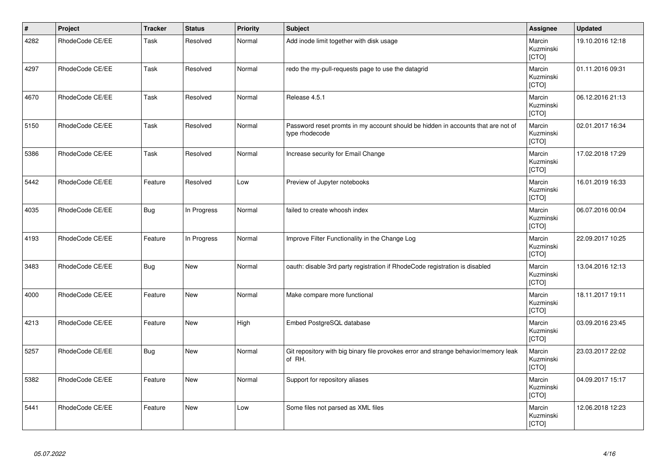| $\vert$ # | Project         | <b>Tracker</b> | <b>Status</b> | <b>Priority</b> | <b>Subject</b>                                                                                     | <b>Assignee</b>              | <b>Updated</b>   |
|-----------|-----------------|----------------|---------------|-----------------|----------------------------------------------------------------------------------------------------|------------------------------|------------------|
| 4282      | RhodeCode CE/EE | Task           | Resolved      | Normal          | Add inode limit together with disk usage                                                           | Marcin<br>Kuzminski<br>[CTO] | 19.10.2016 12:18 |
| 4297      | RhodeCode CE/EE | Task           | Resolved      | Normal          | redo the my-pull-requests page to use the datagrid                                                 | Marcin<br>Kuzminski<br>[CTO] | 01.11.2016 09:31 |
| 4670      | RhodeCode CE/EE | Task           | Resolved      | Normal          | Release 4.5.1                                                                                      | Marcin<br>Kuzminski<br>[CTO] | 06.12.2016 21:13 |
| 5150      | RhodeCode CE/EE | Task           | Resolved      | Normal          | Password reset promts in my account should be hidden in accounts that are not of<br>type rhodecode | Marcin<br>Kuzminski<br>[CTO] | 02.01.2017 16:34 |
| 5386      | RhodeCode CE/EE | Task           | Resolved      | Normal          | Increase security for Email Change                                                                 | Marcin<br>Kuzminski<br>[CTO] | 17.02.2018 17:29 |
| 5442      | RhodeCode CE/EE | Feature        | Resolved      | Low             | Preview of Jupyter notebooks                                                                       | Marcin<br>Kuzminski<br>[CTO] | 16.01.2019 16:33 |
| 4035      | RhodeCode CE/EE | <b>Bug</b>     | In Progress   | Normal          | failed to create whoosh index                                                                      | Marcin<br>Kuzminski<br>[CTO] | 06.07.2016 00:04 |
| 4193      | RhodeCode CE/EE | Feature        | In Progress   | Normal          | Improve Filter Functionality in the Change Log                                                     | Marcin<br>Kuzminski<br>[CTO] | 22.09.2017 10:25 |
| 3483      | RhodeCode CE/EE | <b>Bug</b>     | New           | Normal          | oauth: disable 3rd party registration if RhodeCode registration is disabled                        | Marcin<br>Kuzminski<br>[CTO] | 13.04.2016 12:13 |
| 4000      | RhodeCode CE/EE | Feature        | <b>New</b>    | Normal          | Make compare more functional                                                                       | Marcin<br>Kuzminski<br>[CTO] | 18.11.2017 19:11 |
| 4213      | RhodeCode CE/EE | Feature        | <b>New</b>    | High            | Embed PostgreSQL database                                                                          | Marcin<br>Kuzminski<br>[CTO] | 03.09.2016 23:45 |
| 5257      | RhodeCode CE/EE | <b>Bug</b>     | New           | Normal          | Git repository with big binary file provokes error and strange behavior/memory leak<br>of RH.      | Marcin<br>Kuzminski<br>[CTO] | 23.03.2017 22:02 |
| 5382      | RhodeCode CE/EE | Feature        | <b>New</b>    | Normal          | Support for repository aliases                                                                     | Marcin<br>Kuzminski<br>[CTO] | 04.09.2017 15:17 |
| 5441      | RhodeCode CE/EE | Feature        | New           | Low             | Some files not parsed as XML files                                                                 | Marcin<br>Kuzminski<br>[CTO] | 12.06.2018 12:23 |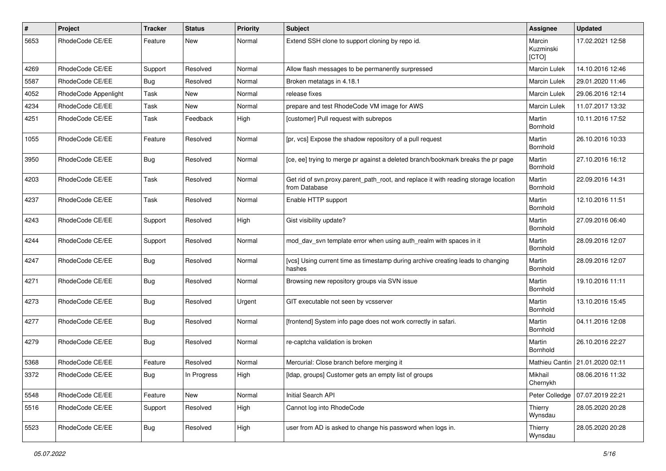| #    | Project              | <b>Tracker</b> | <b>Status</b> | <b>Priority</b> | <b>Subject</b>                                                                                       | <b>Assignee</b>              | <b>Updated</b>   |
|------|----------------------|----------------|---------------|-----------------|------------------------------------------------------------------------------------------------------|------------------------------|------------------|
| 5653 | RhodeCode CE/EE      | Feature        | New           | Normal          | Extend SSH clone to support cloning by repo id.                                                      | Marcin<br>Kuzminski<br>[CTO] | 17.02.2021 12:58 |
| 4269 | RhodeCode CE/EE      | Support        | Resolved      | Normal          | Allow flash messages to be permanently surpressed                                                    | Marcin Lulek                 | 14.10.2016 12:46 |
| 5587 | RhodeCode CE/EE      | Bug            | Resolved      | Normal          | Broken metatags in 4.18.1                                                                            | Marcin Lulek                 | 29.01.2020 11:46 |
| 4052 | RhodeCode Appenlight | Task           | New           | Normal          | release fixes                                                                                        | Marcin Lulek                 | 29.06.2016 12:14 |
| 4234 | RhodeCode CE/EE      | Task           | New           | Normal          | prepare and test RhodeCode VM image for AWS                                                          | Marcin Lulek                 | 11.07.2017 13:32 |
| 4251 | RhodeCode CE/EE      | Task           | Feedback      | High            | [customer] Pull request with subrepos                                                                | Martin<br>Bornhold           | 10.11.2016 17:52 |
| 1055 | RhodeCode CE/EE      | Feature        | Resolved      | Normal          | [pr, vcs] Expose the shadow repository of a pull request                                             | Martin<br>Bornhold           | 26.10.2016 10:33 |
| 3950 | RhodeCode CE/EE      | <b>Bug</b>     | Resolved      | Normal          | [ce, ee] trying to merge pr against a deleted branch/bookmark breaks the pr page                     | Martin<br>Bornhold           | 27.10.2016 16:12 |
| 4203 | RhodeCode CE/EE      | Task           | Resolved      | Normal          | Get rid of svn.proxy.parent_path_root, and replace it with reading storage location<br>from Database | Martin<br>Bornhold           | 22.09.2016 14:31 |
| 4237 | RhodeCode CE/EE      | Task           | Resolved      | Normal          | Enable HTTP support                                                                                  | Martin<br>Bornhold           | 12.10.2016 11:51 |
| 4243 | RhodeCode CE/EE      | Support        | Resolved      | High            | Gist visibility update?                                                                              | Martin<br>Bornhold           | 27.09.2016 06:40 |
| 4244 | RhodeCode CE/EE      | Support        | Resolved      | Normal          | mod day syn template error when using auth realm with spaces in it                                   | Martin<br>Bornhold           | 28.09.2016 12:07 |
| 4247 | RhodeCode CE/EE      | Bug            | Resolved      | Normal          | [vcs] Using current time as timestamp during archive creating leads to changing<br>hashes            | Martin<br>Bornhold           | 28.09.2016 12:07 |
| 4271 | RhodeCode CE/EE      | Bug            | Resolved      | Normal          | Browsing new repository groups via SVN issue                                                         | Martin<br>Bornhold           | 19.10.2016 11:11 |
| 4273 | RhodeCode CE/EE      | Bug            | Resolved      | Urgent          | GIT executable not seen by vcsserver                                                                 | Martin<br>Bornhold           | 13.10.2016 15:45 |
| 4277 | RhodeCode CE/EE      | Bug            | Resolved      | Normal          | [frontend] System info page does not work correctly in safari.                                       | Martin<br>Bornhold           | 04.11.2016 12:08 |
| 4279 | RhodeCode CE/EE      | Bug            | Resolved      | Normal          | re-captcha validation is broken                                                                      | Martin<br>Bornhold           | 26.10.2016 22:27 |
| 5368 | RhodeCode CE/EE      | Feature        | Resolved      | Normal          | Mercurial: Close branch before merging it                                                            | Mathieu Cantin               | 21.01.2020 02:11 |
| 3372 | RhodeCode CE/EE      | Bug            | In Progress   | High            | [Idap, groups] Customer gets an empty list of groups                                                 | Mikhail<br>Chernykh          | 08.06.2016 11:32 |
| 5548 | RhodeCode CE/EE      | Feature        | New           | Normal          | Initial Search API                                                                                   | Peter Colledge               | 07.07.2019 22:21 |
| 5516 | RhodeCode CE/EE      | Support        | Resolved      | High            | Cannot log into RhodeCode                                                                            | Thierry<br>Wynsdau           | 28.05.2020 20:28 |
| 5523 | RhodeCode CE/EE      | Bug            | Resolved      | High            | user from AD is asked to change his password when logs in.                                           | Thierry<br>Wynsdau           | 28.05.2020 20:28 |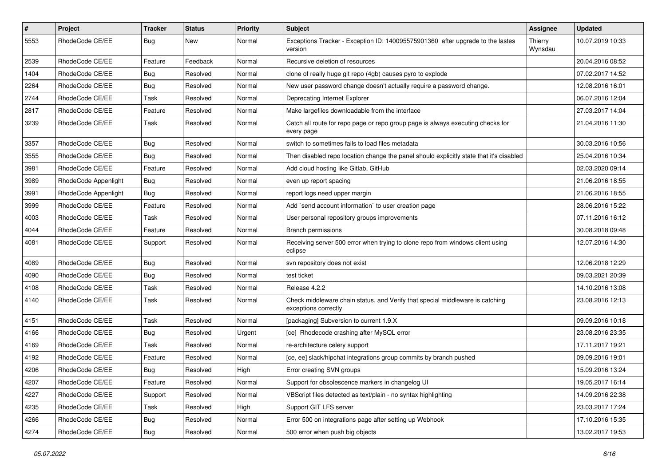| $\pmb{\#}$ | Project              | <b>Tracker</b> | <b>Status</b> | <b>Priority</b> | <b>Subject</b>                                                                                        | <b>Assignee</b>    | <b>Updated</b>   |
|------------|----------------------|----------------|---------------|-----------------|-------------------------------------------------------------------------------------------------------|--------------------|------------------|
| 5553       | RhodeCode CE/EE      | Bug            | New           | Normal          | Exceptions Tracker - Exception ID: 140095575901360 after upgrade to the lastes<br>version             | Thierry<br>Wynsdau | 10.07.2019 10:33 |
| 2539       | RhodeCode CE/EE      | Feature        | Feedback      | Normal          | Recursive deletion of resources                                                                       |                    | 20.04.2016 08:52 |
| 1404       | RhodeCode CE/EE      | <b>Bug</b>     | Resolved      | Normal          | clone of really huge git repo (4gb) causes pyro to explode                                            |                    | 07.02.2017 14:52 |
| 2264       | RhodeCode CE/EE      | Bug            | Resolved      | Normal          | New user password change doesn't actually require a password change.                                  |                    | 12.08.2016 16:01 |
| 2744       | RhodeCode CE/EE      | Task           | Resolved      | Normal          | Deprecating Internet Explorer                                                                         |                    | 06.07.2016 12:04 |
| 2817       | RhodeCode CE/EE      | Feature        | Resolved      | Normal          | Make largefiles downloadable from the interface                                                       |                    | 27.03.2017 14:04 |
| 3239       | RhodeCode CE/EE      | Task           | Resolved      | Normal          | Catch all route for repo page or repo group page is always executing checks for<br>every page         |                    | 21.04.2016 11:30 |
| 3357       | RhodeCode CE/EE      | Bug            | Resolved      | Normal          | switch to sometimes fails to load files metadata                                                      |                    | 30.03.2016 10:56 |
| 3555       | RhodeCode CE/EE      | <b>Bug</b>     | Resolved      | Normal          | Then disabled repo location change the panel should explicitly state that it's disabled               |                    | 25.04.2016 10:34 |
| 3981       | RhodeCode CE/EE      | Feature        | Resolved      | Normal          | Add cloud hosting like Gitlab, GitHub                                                                 |                    | 02.03.2020 09:14 |
| 3989       | RhodeCode Appenlight | Bug            | Resolved      | Normal          | even up report spacing                                                                                |                    | 21.06.2016 18:55 |
| 3991       | RhodeCode Appenlight | Bug            | Resolved      | Normal          | report logs need upper margin                                                                         |                    | 21.06.2016 18:55 |
| 3999       | RhodeCode CE/EE      | Feature        | Resolved      | Normal          | Add `send account information` to user creation page                                                  |                    | 28.06.2016 15:22 |
| 4003       | RhodeCode CE/EE      | Task           | Resolved      | Normal          | User personal repository groups improvements                                                          |                    | 07.11.2016 16:12 |
| 4044       | RhodeCode CE/EE      | Feature        | Resolved      | Normal          | <b>Branch permissions</b>                                                                             |                    | 30.08.2018 09:48 |
| 4081       | RhodeCode CE/EE      | Support        | Resolved      | Normal          | Receiving server 500 error when trying to clone repo from windows client using<br>eclipse             |                    | 12.07.2016 14:30 |
| 4089       | RhodeCode CE/EE      | Bug            | Resolved      | Normal          | svn repository does not exist                                                                         |                    | 12.06.2018 12:29 |
| 4090       | RhodeCode CE/EE      | Bug            | Resolved      | Normal          | test ticket                                                                                           |                    | 09.03.2021 20:39 |
| 4108       | RhodeCode CE/EE      | Task           | Resolved      | Normal          | Release 4.2.2                                                                                         |                    | 14.10.2016 13:08 |
| 4140       | RhodeCode CE/EE      | Task           | Resolved      | Normal          | Check middleware chain status, and Verify that special middleware is catching<br>exceptions correctly |                    | 23.08.2016 12:13 |
| 4151       | RhodeCode CE/EE      | Task           | Resolved      | Normal          | [packaging] Subversion to current 1.9.X                                                               |                    | 09.09.2016 10:18 |
| 4166       | RhodeCode CE/EE      | Bug            | Resolved      | Urgent          | [ce] Rhodecode crashing after MySQL error                                                             |                    | 23.08.2016 23:35 |
| 4169       | RhodeCode CE/EE      | Task           | Resolved      | Normal          | re-architecture celery support                                                                        |                    | 17.11.2017 19:21 |
| 4192       | RhodeCode CE/EE      | Feature        | Resolved      | Normal          | [ce, ee] slack/hipchat integrations group commits by branch pushed                                    |                    | 09.09.2016 19:01 |
| 4206       | RhodeCode CE/EE      | <b>Bug</b>     | Resolved      | High            | Error creating SVN groups                                                                             |                    | 15.09.2016 13:24 |
| 4207       | RhodeCode CE/EE      | Feature        | Resolved      | Normal          | Support for obsolescence markers in changelog UI                                                      |                    | 19.05.2017 16:14 |
| 4227       | RhodeCode CE/EE      | Support        | Resolved      | Normal          | VBScript files detected as text/plain - no syntax highlighting                                        |                    | 14.09.2016 22:38 |
| 4235       | RhodeCode CE/EE      | Task           | Resolved      | High            | Support GIT LFS server                                                                                |                    | 23.03.2017 17:24 |
| 4266       | RhodeCode CE/EE      | <b>Bug</b>     | Resolved      | Normal          | Error 500 on integrations page after setting up Webhook                                               |                    | 17.10.2016 15:35 |
| 4274       | RhodeCode CE/EE      | <b>Bug</b>     | Resolved      | Normal          | 500 error when push big objects                                                                       |                    | 13.02.2017 19:53 |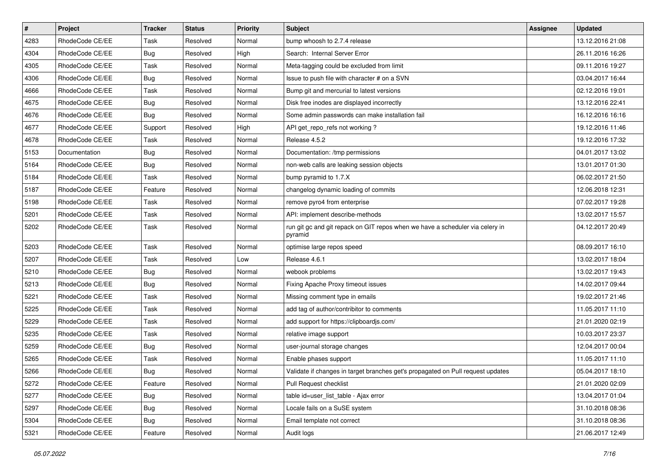| $\vert$ # | Project         | <b>Tracker</b> | <b>Status</b> | <b>Priority</b> | Subject                                                                                  | Assignee | <b>Updated</b>   |
|-----------|-----------------|----------------|---------------|-----------------|------------------------------------------------------------------------------------------|----------|------------------|
| 4283      | RhodeCode CE/EE | Task           | Resolved      | Normal          | bump whoosh to 2.7.4 release                                                             |          | 13.12.2016 21:08 |
| 4304      | RhodeCode CE/EE | <b>Bug</b>     | Resolved      | High            | Search: Internal Server Error                                                            |          | 26.11.2016 16:26 |
| 4305      | RhodeCode CE/EE | Task           | Resolved      | Normal          | Meta-tagging could be excluded from limit                                                |          | 09.11.2016 19:27 |
| 4306      | RhodeCode CE/EE | Bug            | Resolved      | Normal          | Issue to push file with character # on a SVN                                             |          | 03.04.2017 16:44 |
| 4666      | RhodeCode CE/EE | Task           | Resolved      | Normal          | Bump git and mercurial to latest versions                                                |          | 02.12.2016 19:01 |
| 4675      | RhodeCode CE/EE | <b>Bug</b>     | Resolved      | Normal          | Disk free inodes are displayed incorrectly                                               |          | 13.12.2016 22:41 |
| 4676      | RhodeCode CE/EE | <b>Bug</b>     | Resolved      | Normal          | Some admin passwords can make installation fail                                          |          | 16.12.2016 16:16 |
| 4677      | RhodeCode CE/EE | Support        | Resolved      | High            | API get_repo_refs not working?                                                           |          | 19.12.2016 11:46 |
| 4678      | RhodeCode CE/EE | Task           | Resolved      | Normal          | Release 4.5.2                                                                            |          | 19.12.2016 17:32 |
| 5153      | Documentation   | Bug            | Resolved      | Normal          | Documentation: /tmp permissions                                                          |          | 04.01.2017 13:02 |
| 5164      | RhodeCode CE/EE | <b>Bug</b>     | Resolved      | Normal          | non-web calls are leaking session objects                                                |          | 13.01.2017 01:30 |
| 5184      | RhodeCode CE/EE | Task           | Resolved      | Normal          | bump pyramid to 1.7.X                                                                    |          | 06.02.2017 21:50 |
| 5187      | RhodeCode CE/EE | Feature        | Resolved      | Normal          | changelog dynamic loading of commits                                                     |          | 12.06.2018 12:31 |
| 5198      | RhodeCode CE/EE | Task           | Resolved      | Normal          | remove pyro4 from enterprise                                                             |          | 07.02.2017 19:28 |
| 5201      | RhodeCode CE/EE | Task           | Resolved      | Normal          | API: implement describe-methods                                                          |          | 13.02.2017 15:57 |
| 5202      | RhodeCode CE/EE | Task           | Resolved      | Normal          | run git gc and git repack on GIT repos when we have a scheduler via celery in<br>pyramid |          | 04.12.2017 20:49 |
| 5203      | RhodeCode CE/EE | Task           | Resolved      | Normal          | optimise large repos speed                                                               |          | 08.09.2017 16:10 |
| 5207      | RhodeCode CE/EE | Task           | Resolved      | Low             | Release 4.6.1                                                                            |          | 13.02.2017 18:04 |
| 5210      | RhodeCode CE/EE | <b>Bug</b>     | Resolved      | Normal          | webook problems                                                                          |          | 13.02.2017 19:43 |
| 5213      | RhodeCode CE/EE | <b>Bug</b>     | Resolved      | Normal          | Fixing Apache Proxy timeout issues                                                       |          | 14.02.2017 09:44 |
| 5221      | RhodeCode CE/EE | Task           | Resolved      | Normal          | Missing comment type in emails                                                           |          | 19.02.2017 21:46 |
| 5225      | RhodeCode CE/EE | Task           | Resolved      | Normal          | add tag of author/contribitor to comments                                                |          | 11.05.2017 11:10 |
| 5229      | RhodeCode CE/EE | Task           | Resolved      | Normal          | add support for https://clipboardjs.com/                                                 |          | 21.01.2020 02:19 |
| 5235      | RhodeCode CE/EE | Task           | Resolved      | Normal          | relative image support                                                                   |          | 10.03.2017 23:37 |
| 5259      | RhodeCode CE/EE | <b>Bug</b>     | Resolved      | Normal          | user-journal storage changes                                                             |          | 12.04.2017 00:04 |
| 5265      | RhodeCode CE/EE | Task           | Resolved      | Normal          | Enable phases support                                                                    |          | 11.05.2017 11:10 |
| 5266      | RhodeCode CE/EE | <b>Bug</b>     | Resolved      | Normal          | Validate if changes in target branches get's propagated on Pull request updates          |          | 05.04.2017 18:10 |
| 5272      | RhodeCode CE/EE | Feature        | Resolved      | Normal          | Pull Request checklist                                                                   |          | 21.01.2020 02:09 |
| 5277      | RhodeCode CE/EE | Bug            | Resolved      | Normal          | table id=user list table - Ajax error                                                    |          | 13.04.2017 01:04 |
| 5297      | RhodeCode CE/EE | <b>Bug</b>     | Resolved      | Normal          | Locale fails on a SuSE system                                                            |          | 31.10.2018 08:36 |
| 5304      | RhodeCode CE/EE | <b>Bug</b>     | Resolved      | Normal          | Email template not correct                                                               |          | 31.10.2018 08:36 |
| 5321      | RhodeCode CE/EE | Feature        | Resolved      | Normal          | Audit logs                                                                               |          | 21.06.2017 12:49 |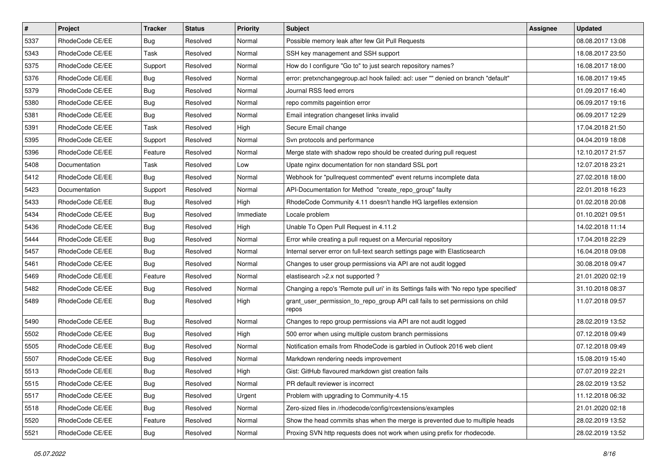| $\pmb{\#}$ | Project         | <b>Tracker</b> | <b>Status</b> | <b>Priority</b> | <b>Subject</b>                                                                          | Assignee | <b>Updated</b>   |
|------------|-----------------|----------------|---------------|-----------------|-----------------------------------------------------------------------------------------|----------|------------------|
| 5337       | RhodeCode CE/EE | <b>Bug</b>     | Resolved      | Normal          | Possible memory leak after few Git Pull Requests                                        |          | 08.08.2017 13:08 |
| 5343       | RhodeCode CE/EE | Task           | Resolved      | Normal          | SSH key management and SSH support                                                      |          | 18.08.2017 23:50 |
| 5375       | RhodeCode CE/EE | Support        | Resolved      | Normal          | How do I configure "Go to" to just search repository names?                             |          | 16.08.2017 18:00 |
| 5376       | RhodeCode CE/EE | <b>Bug</b>     | Resolved      | Normal          | error: pretxnchangegroup.acl hook failed: acl: user "" denied on branch "default"       |          | 16.08.2017 19:45 |
| 5379       | RhodeCode CE/EE | Bug            | Resolved      | Normal          | Journal RSS feed errors                                                                 |          | 01.09.2017 16:40 |
| 5380       | RhodeCode CE/EE | Bug            | Resolved      | Normal          | repo commits pageintion error                                                           |          | 06.09.2017 19:16 |
| 5381       | RhodeCode CE/EE | <b>Bug</b>     | Resolved      | Normal          | Email integration changeset links invalid                                               |          | 06.09.2017 12:29 |
| 5391       | RhodeCode CE/EE | Task           | Resolved      | High            | Secure Email change                                                                     |          | 17.04.2018 21:50 |
| 5395       | RhodeCode CE/EE | Support        | Resolved      | Normal          | Svn protocols and performance                                                           |          | 04.04.2019 18:08 |
| 5396       | RhodeCode CE/EE | Feature        | Resolved      | Normal          | Merge state with shadow repo should be created during pull request                      |          | 12.10.2017 21:57 |
| 5408       | Documentation   | Task           | Resolved      | Low             | Upate nginx documentation for non standard SSL port                                     |          | 12.07.2018 23:21 |
| 5412       | RhodeCode CE/EE | Bug            | Resolved      | Normal          | Webhook for "pullrequest commented" event returns incomplete data                       |          | 27.02.2018 18:00 |
| 5423       | Documentation   | Support        | Resolved      | Normal          | API-Documentation for Method "create_repo_group" faulty                                 |          | 22.01.2018 16:23 |
| 5433       | RhodeCode CE/EE | Bug            | Resolved      | High            | RhodeCode Community 4.11 doesn't handle HG largefiles extension                         |          | 01.02.2018 20:08 |
| 5434       | RhodeCode CE/EE | Bug            | Resolved      | Immediate       | Locale problem                                                                          |          | 01.10.2021 09:51 |
| 5436       | RhodeCode CE/EE | Bug            | Resolved      | High            | Unable To Open Pull Request in 4.11.2                                                   |          | 14.02.2018 11:14 |
| 5444       | RhodeCode CE/EE | Bug            | Resolved      | Normal          | Error while creating a pull request on a Mercurial repository                           |          | 17.04.2018 22:29 |
| 5457       | RhodeCode CE/EE | Bug            | Resolved      | Normal          | Internal server error on full-text search settings page with Elasticsearch              |          | 16.04.2018 09:08 |
| 5461       | RhodeCode CE/EE | Bug            | Resolved      | Normal          | Changes to user group permissions via API are not audit logged                          |          | 30.08.2018 09:47 |
| 5469       | RhodeCode CE/EE | Feature        | Resolved      | Normal          | elastisearch > 2.x not supported ?                                                      |          | 21.01.2020 02:19 |
| 5482       | RhodeCode CE/EE | Bug            | Resolved      | Normal          | Changing a repo's 'Remote pull uri' in its Settings fails with 'No repo type specified' |          | 31.10.2018 08:37 |
| 5489       | RhodeCode CE/EE | Bug            | Resolved      | High            | grant_user_permission_to_repo_group API call fails to set permissions on child<br>repos |          | 11.07.2018 09:57 |
| 5490       | RhodeCode CE/EE | Bug            | Resolved      | Normal          | Changes to repo group permissions via API are not audit logged                          |          | 28.02.2019 13:52 |
| 5502       | RhodeCode CE/EE | <b>Bug</b>     | Resolved      | High            | 500 error when using multiple custom branch permissions                                 |          | 07.12.2018 09:49 |
| 5505       | RhodeCode CE/EE | Bug            | Resolved      | Normal          | Notification emails from RhodeCode is garbled in Outlook 2016 web client                |          | 07.12.2018 09:49 |
| 5507       | RhodeCode CE/EE | <b>Bug</b>     | Resolved      | Normal          | Markdown rendering needs improvement                                                    |          | 15.08.2019 15:40 |
| 5513       | RhodeCode CE/EE | Bug            | Resolved      | High            | Gist: GitHub flavoured markdown gist creation fails                                     |          | 07.07.2019 22:21 |
| 5515       | RhodeCode CE/EE | <b>Bug</b>     | Resolved      | Normal          | PR default reviewer is incorrect                                                        |          | 28.02.2019 13:52 |
| 5517       | RhodeCode CE/EE | Bug            | Resolved      | Urgent          | Problem with upgrading to Community-4.15                                                |          | 11.12.2018 06:32 |
| 5518       | RhodeCode CE/EE | <b>Bug</b>     | Resolved      | Normal          | Zero-sized files in /rhodecode/config/rcextensions/examples                             |          | 21.01.2020 02:18 |
| 5520       | RhodeCode CE/EE | Feature        | Resolved      | Normal          | Show the head commits shas when the merge is prevented due to multiple heads            |          | 28.02.2019 13:52 |
| 5521       | RhodeCode CE/EE | Bug            | Resolved      | Normal          | Proxing SVN http requests does not work when using prefix for rhodecode.                |          | 28.02.2019 13:52 |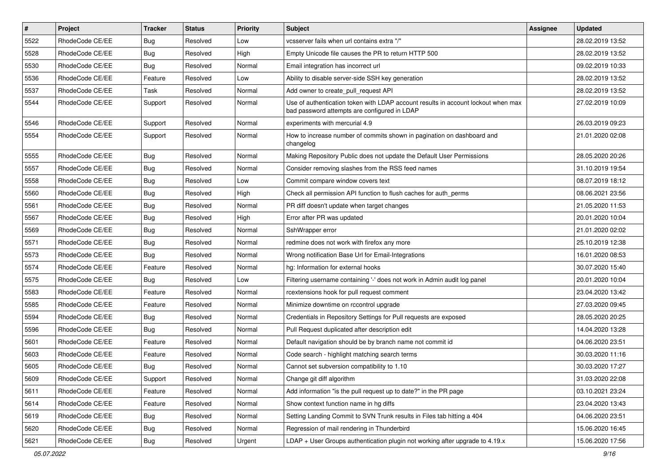| $\vert$ # | Project         | <b>Tracker</b> | <b>Status</b> | <b>Priority</b> | <b>Subject</b>                                                                                                                    | <b>Assignee</b> | <b>Updated</b>   |
|-----------|-----------------|----------------|---------------|-----------------|-----------------------------------------------------------------------------------------------------------------------------------|-----------------|------------------|
| 5522      | RhodeCode CE/EE | <b>Bug</b>     | Resolved      | Low             | vcsserver fails when url contains extra "/"                                                                                       |                 | 28.02.2019 13:52 |
| 5528      | RhodeCode CE/EE | Bug            | Resolved      | High            | Empty Unicode file causes the PR to return HTTP 500                                                                               |                 | 28.02.2019 13:52 |
| 5530      | RhodeCode CE/EE | Bug            | Resolved      | Normal          | Email integration has incorrect url                                                                                               |                 | 09.02.2019 10:33 |
| 5536      | RhodeCode CE/EE | Feature        | Resolved      | Low             | Ability to disable server-side SSH key generation                                                                                 |                 | 28.02.2019 13:52 |
| 5537      | RhodeCode CE/EE | Task           | Resolved      | Normal          | Add owner to create_pull_request API                                                                                              |                 | 28.02.2019 13:52 |
| 5544      | RhodeCode CE/EE | Support        | Resolved      | Normal          | Use of authentication token with LDAP account results in account lockout when max<br>bad password attempts are configured in LDAP |                 | 27.02.2019 10:09 |
| 5546      | RhodeCode CE/EE | Support        | Resolved      | Normal          | experiments with mercurial 4.9                                                                                                    |                 | 26.03.2019 09:23 |
| 5554      | RhodeCode CE/EE | Support        | Resolved      | Normal          | How to increase number of commits shown in pagination on dashboard and<br>changelog                                               |                 | 21.01.2020 02:08 |
| 5555      | RhodeCode CE/EE | Bug            | Resolved      | Normal          | Making Repository Public does not update the Default User Permissions                                                             |                 | 28.05.2020 20:26 |
| 5557      | RhodeCode CE/EE | <b>Bug</b>     | Resolved      | Normal          | Consider removing slashes from the RSS feed names                                                                                 |                 | 31.10.2019 19:54 |
| 5558      | RhodeCode CE/EE | Bug            | Resolved      | Low             | Commit compare window covers text                                                                                                 |                 | 08.07.2019 18:12 |
| 5560      | RhodeCode CE/EE | <b>Bug</b>     | Resolved      | High            | Check all permission API function to flush caches for auth perms                                                                  |                 | 08.06.2021 23:56 |
| 5561      | RhodeCode CE/EE | <b>Bug</b>     | Resolved      | Normal          | PR diff doesn't update when target changes                                                                                        |                 | 21.05.2020 11:53 |
| 5567      | RhodeCode CE/EE | <b>Bug</b>     | Resolved      | High            | Error after PR was updated                                                                                                        |                 | 20.01.2020 10:04 |
| 5569      | RhodeCode CE/EE | <b>Bug</b>     | Resolved      | Normal          | SshWrapper error                                                                                                                  |                 | 21.01.2020 02:02 |
| 5571      | RhodeCode CE/EE | <b>Bug</b>     | Resolved      | Normal          | redmine does not work with firefox any more                                                                                       |                 | 25.10.2019 12:38 |
| 5573      | RhodeCode CE/EE | Bug            | Resolved      | Normal          | Wrong notification Base Url for Email-Integrations                                                                                |                 | 16.01.2020 08:53 |
| 5574      | RhodeCode CE/EE | Feature        | Resolved      | Normal          | hg: Information for external hooks                                                                                                |                 | 30.07.2020 15:40 |
| 5575      | RhodeCode CE/EE | <b>Bug</b>     | Resolved      | Low             | Filtering username containing '-' does not work in Admin audit log panel                                                          |                 | 20.01.2020 10:04 |
| 5583      | RhodeCode CE/EE | Feature        | Resolved      | Normal          | rcextensions hook for pull request comment                                                                                        |                 | 23.04.2020 13:42 |
| 5585      | RhodeCode CE/EE | Feature        | Resolved      | Normal          | Minimize downtime on rccontrol upgrade                                                                                            |                 | 27.03.2020 09:45 |
| 5594      | RhodeCode CE/EE | Bug            | Resolved      | Normal          | Credentials in Repository Settings for Pull requests are exposed                                                                  |                 | 28.05.2020 20:25 |
| 5596      | RhodeCode CE/EE | <b>Bug</b>     | Resolved      | Normal          | Pull Request duplicated after description edit                                                                                    |                 | 14.04.2020 13:28 |
| 5601      | RhodeCode CE/EE | Feature        | Resolved      | Normal          | Default navigation should be by branch name not commit id                                                                         |                 | 04.06.2020 23:51 |
| 5603      | RhodeCode CE/EE | Feature        | Resolved      | Normal          | Code search - highlight matching search terms                                                                                     |                 | 30.03.2020 11:16 |
| 5605      | RhodeCode CE/EE | Bug            | Resolved      | Normal          | Cannot set subversion compatibility to 1.10                                                                                       |                 | 30.03.2020 17:27 |
| 5609      | RhodeCode CE/EE | Support        | Resolved      | Normal          | Change git diff algorithm                                                                                                         |                 | 31.03.2020 22:08 |
| 5611      | RhodeCode CE/EE | Feature        | Resolved      | Normal          | Add information "is the pull request up to date?" in the PR page                                                                  |                 | 03.10.2021 23:24 |
| 5614      | RhodeCode CE/EE | Feature        | Resolved      | Normal          | Show context function name in hg diffs                                                                                            |                 | 23.04.2020 13:43 |
| 5619      | RhodeCode CE/EE | <b>Bug</b>     | Resolved      | Normal          | Setting Landing Commit to SVN Trunk results in Files tab hitting a 404                                                            |                 | 04.06.2020 23:51 |
| 5620      | RhodeCode CE/EE | <b>Bug</b>     | Resolved      | Normal          | Regression of mail rendering in Thunderbird                                                                                       |                 | 15.06.2020 16:45 |
| 5621      | RhodeCode CE/EE | <b>Bug</b>     | Resolved      | Urgent          | LDAP + User Groups authentication plugin not working after upgrade to 4.19.x                                                      |                 | 15.06.2020 17:56 |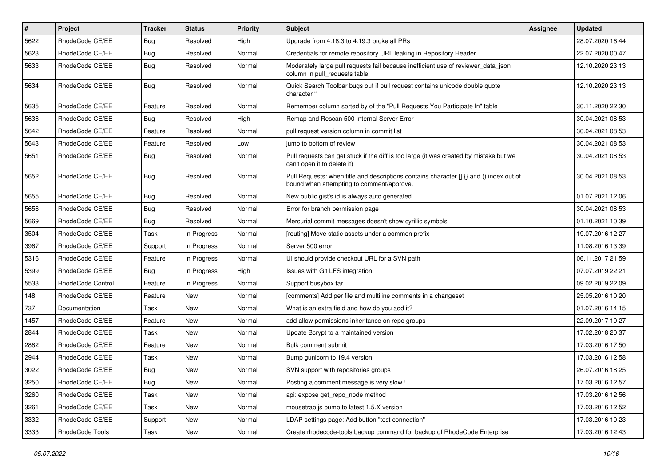| $\#$ | Project                  | <b>Tracker</b> | <b>Status</b> | <b>Priority</b> | <b>Subject</b>                                                                                                                       | Assignee | <b>Updated</b>   |
|------|--------------------------|----------------|---------------|-----------------|--------------------------------------------------------------------------------------------------------------------------------------|----------|------------------|
| 5622 | RhodeCode CE/EE          | Bug            | Resolved      | High            | Upgrade from 4.18.3 to 4.19.3 broke all PRs                                                                                          |          | 28.07.2020 16:44 |
| 5623 | RhodeCode CE/EE          | Bug            | Resolved      | Normal          | Credentials for remote repository URL leaking in Repository Header                                                                   |          | 22.07.2020 00:47 |
| 5633 | RhodeCode CE/EE          | Bug            | Resolved      | Normal          | Moderately large pull requests fail because inefficient use of reviewer_data_json<br>column in pull_requests table                   |          | 12.10.2020 23:13 |
| 5634 | RhodeCode CE/EE          | Bug            | Resolved      | Normal          | Quick Search Toolbar bugs out if pull request contains unicode double quote<br>character "                                           |          | 12.10.2020 23:13 |
| 5635 | RhodeCode CE/EE          | Feature        | Resolved      | Normal          | Remember column sorted by of the "Pull Requests You Participate In" table                                                            |          | 30.11.2020 22:30 |
| 5636 | RhodeCode CE/EE          | Bug            | Resolved      | High            | Remap and Rescan 500 Internal Server Error                                                                                           |          | 30.04.2021 08:53 |
| 5642 | RhodeCode CE/EE          | Feature        | Resolved      | Normal          | pull request version column in commit list                                                                                           |          | 30.04.2021 08:53 |
| 5643 | RhodeCode CE/EE          | Feature        | Resolved      | Low             | jump to bottom of review                                                                                                             |          | 30.04.2021 08:53 |
| 5651 | RhodeCode CE/EE          | Bug            | Resolved      | Normal          | Pull requests can get stuck if the diff is too large (it was created by mistake but we<br>can't open it to delete it)                |          | 30.04.2021 08:53 |
| 5652 | RhodeCode CE/EE          | <b>Bug</b>     | Resolved      | Normal          | Pull Requests: when title and descriptions contains character [] {} and () index out of<br>bound when attempting to comment/approve. |          | 30.04.2021 08:53 |
| 5655 | RhodeCode CE/EE          | Bug            | Resolved      | Normal          | New public gist's id is always auto generated                                                                                        |          | 01.07.2021 12:06 |
| 5656 | RhodeCode CE/EE          | Bug            | Resolved      | Normal          | Error for branch permission page                                                                                                     |          | 30.04.2021 08:53 |
| 5669 | RhodeCode CE/EE          | Bug            | Resolved      | Normal          | Mercurial commit messages doesn't show cyrillic symbols                                                                              |          | 01.10.2021 10:39 |
| 3504 | RhodeCode CE/EE          | Task           | In Progress   | Normal          | [routing] Move static assets under a common prefix                                                                                   |          | 19.07.2016 12:27 |
| 3967 | RhodeCode CE/EE          | Support        | In Progress   | Normal          | Server 500 error                                                                                                                     |          | 11.08.2016 13:39 |
| 5316 | RhodeCode CE/EE          | Feature        | In Progress   | Normal          | UI should provide checkout URL for a SVN path                                                                                        |          | 06.11.2017 21:59 |
| 5399 | RhodeCode CE/EE          | Bug            | In Progress   | High            | Issues with Git LFS integration                                                                                                      |          | 07.07.2019 22:21 |
| 5533 | <b>RhodeCode Control</b> | Feature        | In Progress   | Normal          | Support busybox tar                                                                                                                  |          | 09.02.2019 22:09 |
| 148  | RhodeCode CE/EE          | Feature        | <b>New</b>    | Normal          | [comments] Add per file and multiline comments in a changeset                                                                        |          | 25.05.2016 10:20 |
| 737  | Documentation            | Task           | New           | Normal          | What is an extra field and how do you add it?                                                                                        |          | 01.07.2016 14:15 |
| 1457 | RhodeCode CE/EE          | Feature        | New           | Normal          | add allow permissions inheritance on repo groups                                                                                     |          | 22.09.2017 10:27 |
| 2844 | RhodeCode CE/EE          | Task           | New           | Normal          | Update Bcrypt to a maintained version                                                                                                |          | 17.02.2018 20:37 |
| 2882 | RhodeCode CE/EE          | Feature        | New           | Normal          | Bulk comment submit                                                                                                                  |          | 17.03.2016 17:50 |
| 2944 | RhodeCode CE/EE          | Task           | New           | Normal          | Bump gunicorn to 19.4 version                                                                                                        |          | 17.03.2016 12:58 |
| 3022 | RhodeCode CE/EE          | Bug            | New           | Normal          | SVN support with repositories groups                                                                                                 |          | 26.07.2016 18:25 |
| 3250 | RhodeCode CE/EE          | Bug            | New           | Normal          | Posting a comment message is very slow !                                                                                             |          | 17.03.2016 12:57 |
| 3260 | RhodeCode CE/EE          | Task           | New           | Normal          | api: expose get_repo_node method                                                                                                     |          | 17.03.2016 12:56 |
| 3261 | RhodeCode CE/EE          | Task           | New           | Normal          | mousetrap.js bump to latest 1.5.X version                                                                                            |          | 17.03.2016 12:52 |
| 3332 | RhodeCode CE/EE          | Support        | New           | Normal          | LDAP settings page: Add button "test connection"                                                                                     |          | 17.03.2016 10:23 |
| 3333 | RhodeCode Tools          | Task           | New           | Normal          | Create rhodecode-tools backup command for backup of RhodeCode Enterprise                                                             |          | 17.03.2016 12:43 |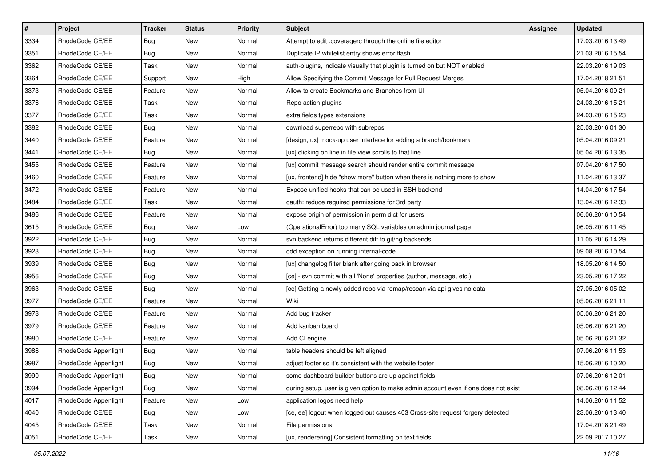| $\vert$ # | Project              | Tracker    | <b>Status</b> | <b>Priority</b> | <b>Subject</b>                                                                      | <b>Assignee</b> | <b>Updated</b>   |
|-----------|----------------------|------------|---------------|-----------------|-------------------------------------------------------------------------------------|-----------------|------------------|
| 3334      | RhodeCode CE/EE      | <b>Bug</b> | New           | Normal          | Attempt to edit .coveragerc through the online file editor                          |                 | 17.03.2016 13:49 |
| 3351      | RhodeCode CE/EE      | Bug        | New           | Normal          | Duplicate IP whitelist entry shows error flash                                      |                 | 21.03.2016 15:54 |
| 3362      | RhodeCode CE/EE      | Task       | New           | Normal          | auth-plugins, indicate visually that plugin is turned on but NOT enabled            |                 | 22.03.2016 19:03 |
| 3364      | RhodeCode CE/EE      | Support    | New           | High            | Allow Specifying the Commit Message for Pull Request Merges                         |                 | 17.04.2018 21:51 |
| 3373      | RhodeCode CE/EE      | Feature    | New           | Normal          | Allow to create Bookmarks and Branches from UI                                      |                 | 05.04.2016 09:21 |
| 3376      | RhodeCode CE/EE      | Task       | New           | Normal          | Repo action plugins                                                                 |                 | 24.03.2016 15:21 |
| 3377      | RhodeCode CE/EE      | Task       | New           | Normal          | extra fields types extensions                                                       |                 | 24.03.2016 15:23 |
| 3382      | RhodeCode CE/EE      | Bug        | New           | Normal          | download superrepo with subrepos                                                    |                 | 25.03.2016 01:30 |
| 3440      | RhodeCode CE/EE      | Feature    | New           | Normal          | [design, ux] mock-up user interface for adding a branch/bookmark                    |                 | 05.04.2016 09:21 |
| 3441      | RhodeCode CE/EE      | <b>Bug</b> | New           | Normal          | [ux] clicking on line in file view scrolls to that line                             |                 | 05.04.2016 13:35 |
| 3455      | RhodeCode CE/EE      | Feature    | New           | Normal          | [ux] commit message search should render entire commit message                      |                 | 07.04.2016 17:50 |
| 3460      | RhodeCode CE/EE      | Feature    | New           | Normal          | [ux, frontend] hide "show more" button when there is nothing more to show           |                 | 11.04.2016 13:37 |
| 3472      | RhodeCode CE/EE      | Feature    | New           | Normal          | Expose unified hooks that can be used in SSH backend                                |                 | 14.04.2016 17:54 |
| 3484      | RhodeCode CE/EE      | Task       | New           | Normal          | oauth: reduce required permissions for 3rd party                                    |                 | 13.04.2016 12:33 |
| 3486      | RhodeCode CE/EE      | Feature    | New           | Normal          | expose origin of permission in perm dict for users                                  |                 | 06.06.2016 10:54 |
| 3615      | RhodeCode CE/EE      | Bug        | New           | Low             | (OperationalError) too many SQL variables on admin journal page                     |                 | 06.05.2016 11:45 |
| 3922      | RhodeCode CE/EE      | <b>Bug</b> | New           | Normal          | svn backend returns different diff to git/hg backends                               |                 | 11.05.2016 14:29 |
| 3923      | RhodeCode CE/EE      | <b>Bug</b> | New           | Normal          | odd exception on running internal-code                                              |                 | 09.08.2016 10:54 |
| 3939      | RhodeCode CE/EE      | <b>Bug</b> | New           | Normal          | [ux] changelog filter blank after going back in browser                             |                 | 18.05.2016 14:50 |
| 3956      | RhodeCode CE/EE      | <b>Bug</b> | New           | Normal          | [ce] - svn commit with all 'None' properties (author, message, etc.)                |                 | 23.05.2016 17:22 |
| 3963      | RhodeCode CE/EE      | Bug        | New           | Normal          | [ce] Getting a newly added repo via remap/rescan via api gives no data              |                 | 27.05.2016 05:02 |
| 3977      | RhodeCode CE/EE      | Feature    | New           | Normal          | Wiki                                                                                |                 | 05.06.2016 21:11 |
| 3978      | RhodeCode CE/EE      | Feature    | New           | Normal          | Add bug tracker                                                                     |                 | 05.06.2016 21:20 |
| 3979      | RhodeCode CE/EE      | Feature    | New           | Normal          | Add kanban board                                                                    |                 | 05.06.2016 21:20 |
| 3980      | RhodeCode CE/EE      | Feature    | New           | Normal          | Add CI engine                                                                       |                 | 05.06.2016 21:32 |
| 3986      | RhodeCode Appenlight | <b>Bug</b> | New           | Normal          | table headers should be left aligned                                                |                 | 07.06.2016 11:53 |
| 3987      | RhodeCode Appenlight | Bug        | New           | Normal          | adjust footer so it's consistent with the website footer                            |                 | 15.06.2016 10:20 |
| 3990      | RhodeCode Appenlight | Bug        | New           | Normal          | some dashboard builder buttons are up against fields                                |                 | 07.06.2016 12:01 |
| 3994      | RhodeCode Appenlight | Bug        | New           | Normal          | during setup, user is given option to make admin account even if one does not exist |                 | 08.06.2016 12:44 |
| 4017      | RhodeCode Appenlight | Feature    | New           | Low             | application logos need help                                                         |                 | 14.06.2016 11:52 |
| 4040      | RhodeCode CE/EE      | Bug        | New           | Low             | [ce, ee] logout when logged out causes 403 Cross-site request forgery detected      |                 | 23.06.2016 13:40 |
| 4045      | RhodeCode CE/EE      | Task       | New           | Normal          | File permissions                                                                    |                 | 17.04.2018 21:49 |
| 4051      | RhodeCode CE/EE      | Task       | New           | Normal          | [ux, renderering] Consistent formatting on text fields.                             |                 | 22.09.2017 10:27 |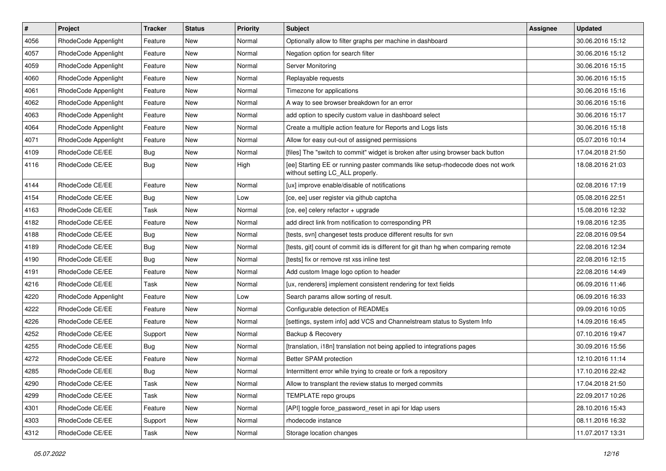| $\vert$ # | Project              | Tracker    | <b>Status</b> | <b>Priority</b> | <b>Subject</b>                                                                                                     | Assignee | <b>Updated</b>   |
|-----------|----------------------|------------|---------------|-----------------|--------------------------------------------------------------------------------------------------------------------|----------|------------------|
| 4056      | RhodeCode Appenlight | Feature    | New           | Normal          | Optionally allow to filter graphs per machine in dashboard                                                         |          | 30.06.2016 15:12 |
| 4057      | RhodeCode Appenlight | Feature    | <b>New</b>    | Normal          | Negation option for search filter                                                                                  |          | 30.06.2016 15:12 |
| 4059      | RhodeCode Appenlight | Feature    | New           | Normal          | Server Monitoring                                                                                                  |          | 30.06.2016 15:15 |
| 4060      | RhodeCode Appenlight | Feature    | New           | Normal          | Replayable requests                                                                                                |          | 30.06.2016 15:15 |
| 4061      | RhodeCode Appenlight | Feature    | New           | Normal          | Timezone for applications                                                                                          |          | 30.06.2016 15:16 |
| 4062      | RhodeCode Appenlight | Feature    | New           | Normal          | A way to see browser breakdown for an error                                                                        |          | 30.06.2016 15:16 |
| 4063      | RhodeCode Appenlight | Feature    | New           | Normal          | add option to specify custom value in dashboard select                                                             |          | 30.06.2016 15:17 |
| 4064      | RhodeCode Appenlight | Feature    | New           | Normal          | Create a multiple action feature for Reports and Logs lists                                                        |          | 30.06.2016 15:18 |
| 4071      | RhodeCode Appenlight | Feature    | New           | Normal          | Allow for easy out-out of assigned permissions                                                                     |          | 05.07.2016 10:14 |
| 4109      | RhodeCode CE/EE      | Bug        | New           | Normal          | [files] The "switch to commit" widget is broken after using browser back button                                    |          | 17.04.2018 21:50 |
| 4116      | RhodeCode CE/EE      | <b>Bug</b> | New           | High            | [ee] Starting EE or running paster commands like setup-rhodecode does not work<br>without setting LC_ALL properly. |          | 18.08.2016 21:03 |
| 4144      | RhodeCode CE/EE      | Feature    | <b>New</b>    | Normal          | [ux] improve enable/disable of notifications                                                                       |          | 02.08.2016 17:19 |
| 4154      | RhodeCode CE/EE      | <b>Bug</b> | New           | Low             | [ce, ee] user register via github captcha                                                                          |          | 05.08.2016 22:51 |
| 4163      | RhodeCode CE/EE      | Task       | New           | Normal          | [ce, ee] celery refactor + upgrade                                                                                 |          | 15.08.2016 12:32 |
| 4182      | RhodeCode CE/EE      | Feature    | New           | Normal          | add direct link from notification to corresponding PR                                                              |          | 19.08.2016 12:35 |
| 4188      | RhodeCode CE/EE      | <b>Bug</b> | New           | Normal          | [tests, svn] changeset tests produce different results for svn                                                     |          | 22.08.2016 09:54 |
| 4189      | RhodeCode CE/EE      | <b>Bug</b> | New           | Normal          | [tests, git] count of commit ids is different for git than hg when comparing remote                                |          | 22.08.2016 12:34 |
| 4190      | RhodeCode CE/EE      | <b>Bug</b> | New           | Normal          | [tests] fix or remove rst xss inline test                                                                          |          | 22.08.2016 12:15 |
| 4191      | RhodeCode CE/EE      | Feature    | New           | Normal          | Add custom Image logo option to header                                                                             |          | 22.08.2016 14:49 |
| 4216      | RhodeCode CE/EE      | Task       | New           | Normal          | [ux, renderers] implement consistent rendering for text fields                                                     |          | 06.09.2016 11:46 |
| 4220      | RhodeCode Appenlight | Feature    | New           | Low             | Search params allow sorting of result.                                                                             |          | 06.09.2016 16:33 |
| 4222      | RhodeCode CE/EE      | Feature    | New           | Normal          | Configurable detection of READMEs                                                                                  |          | 09.09.2016 10:05 |
| 4226      | RhodeCode CE/EE      | Feature    | New           | Normal          | [settings, system info] add VCS and Channelstream status to System Info                                            |          | 14.09.2016 16:45 |
| 4252      | RhodeCode CE/EE      | Support    | New           | Normal          | Backup & Recovery                                                                                                  |          | 07.10.2016 19:47 |
| 4255      | RhodeCode CE/EE      | <b>Bug</b> | New           | Normal          | [translation, i18n] translation not being applied to integrations pages                                            |          | 30.09.2016 15:56 |
| 4272      | RhodeCode CE/EE      | Feature    | New           | Normal          | Better SPAM protection                                                                                             |          | 12.10.2016 11:14 |
| 4285      | RhodeCode CE/EE      | <b>Bug</b> | New           | Normal          | Intermittent error while trying to create or fork a repository                                                     |          | 17.10.2016 22:42 |
| 4290      | RhodeCode CE/EE      | Task       | New           | Normal          | Allow to transplant the review status to merged commits                                                            |          | 17.04.2018 21:50 |
| 4299      | RhodeCode CE/EE      | Task       | New           | Normal          | TEMPLATE repo groups                                                                                               |          | 22.09.2017 10:26 |
| 4301      | RhodeCode CE/EE      | Feature    | New           | Normal          | [API] toggle force_password_reset in api for Idap users                                                            |          | 28.10.2016 15:43 |
| 4303      | RhodeCode CE/EE      | Support    | New           | Normal          | rhodecode instance                                                                                                 |          | 08.11.2016 16:32 |
| 4312      | RhodeCode CE/EE      | Task       | New           | Normal          | Storage location changes                                                                                           |          | 11.07.2017 13:31 |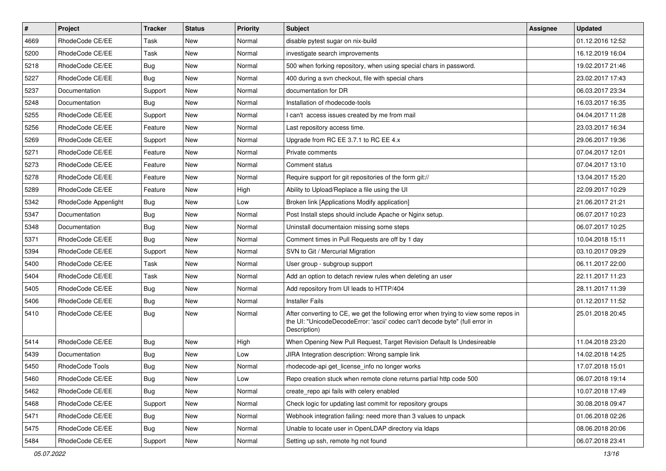| $\overline{\boldsymbol{H}}$ | Project                | <b>Tracker</b> | <b>Status</b> | <b>Priority</b> | <b>Subject</b>                                                                                                                                                                       | <b>Assignee</b> | <b>Updated</b>   |
|-----------------------------|------------------------|----------------|---------------|-----------------|--------------------------------------------------------------------------------------------------------------------------------------------------------------------------------------|-----------------|------------------|
| 4669                        | RhodeCode CE/EE        | Task           | New           | Normal          | disable pytest sugar on nix-build                                                                                                                                                    |                 | 01.12.2016 12:52 |
| 5200                        | RhodeCode CE/EE        | Task           | <b>New</b>    | Normal          | investigate search improvements                                                                                                                                                      |                 | 16.12.2019 16:04 |
| 5218                        | RhodeCode CE/EE        | Bug            | New           | Normal          | 500 when forking repository, when using special chars in password.                                                                                                                   |                 | 19.02.2017 21:46 |
| 5227                        | RhodeCode CE/EE        | <b>Bug</b>     | New           | Normal          | 400 during a svn checkout, file with special chars                                                                                                                                   |                 | 23.02.2017 17:43 |
| 5237                        | Documentation          | Support        | <b>New</b>    | Normal          | documentation for DR                                                                                                                                                                 |                 | 06.03.2017 23:34 |
| 5248                        | Documentation          | Bug            | New           | Normal          | Installation of rhodecode-tools                                                                                                                                                      |                 | 16.03.2017 16:35 |
| 5255                        | RhodeCode CE/EE        | Support        | New           | Normal          | I can't access issues created by me from mail                                                                                                                                        |                 | 04.04.2017 11:28 |
| 5256                        | RhodeCode CE/EE        | Feature        | <b>New</b>    | Normal          | Last repository access time.                                                                                                                                                         |                 | 23.03.2017 16:34 |
| 5269                        | RhodeCode CE/EE        | Support        | <b>New</b>    | Normal          | Upgrade from RC EE 3.7.1 to RC EE 4.x                                                                                                                                                |                 | 29.06.2017 19:36 |
| 5271                        | RhodeCode CE/EE        | Feature        | <b>New</b>    | Normal          | Private comments                                                                                                                                                                     |                 | 07.04.2017 12:01 |
| 5273                        | RhodeCode CE/EE        | Feature        | New           | Normal          | Comment status                                                                                                                                                                       |                 | 07.04.2017 13:10 |
| 5278                        | RhodeCode CE/EE        | Feature        | New           | Normal          | Require support for git repositories of the form git://                                                                                                                              |                 | 13.04.2017 15:20 |
| 5289                        | RhodeCode CE/EE        | Feature        | <b>New</b>    | High            | Ability to Upload/Replace a file using the UI                                                                                                                                        |                 | 22.09.2017 10:29 |
| 5342                        | RhodeCode Appenlight   | Bug            | New           | Low             | Broken link [Applications Modify application]                                                                                                                                        |                 | 21.06.2017 21:21 |
| 5347                        | Documentation          | Bug            | <b>New</b>    | Normal          | Post Install steps should include Apache or Nginx setup.                                                                                                                             |                 | 06.07.2017 10:23 |
| 5348                        | Documentation          | Bug            | New           | Normal          | Uninstall documentaion missing some steps                                                                                                                                            |                 | 06.07.2017 10:25 |
| 5371                        | RhodeCode CE/EE        | <b>Bug</b>     | New           | Normal          | Comment times in Pull Requests are off by 1 day                                                                                                                                      |                 | 10.04.2018 15:11 |
| 5394                        | RhodeCode CE/EE        | Support        | <b>New</b>    | Normal          | SVN to Git / Mercurial Migration                                                                                                                                                     |                 | 03.10.2017 09:29 |
| 5400                        | RhodeCode CE/EE        | Task           | New           | Normal          | User group - subgroup support                                                                                                                                                        |                 | 06.11.2017 22:00 |
| 5404                        | RhodeCode CE/EE        | Task           | <b>New</b>    | Normal          | Add an option to detach review rules when deleting an user                                                                                                                           |                 | 22.11.2017 11:23 |
| 5405                        | RhodeCode CE/EE        | Bug            | New           | Normal          | Add repository from UI leads to HTTP/404                                                                                                                                             |                 | 28.11.2017 11:39 |
| 5406                        | RhodeCode CE/EE        | Bug            | <b>New</b>    | Normal          | <b>Installer Fails</b>                                                                                                                                                               |                 | 01.12.2017 11:52 |
| 5410                        | RhodeCode CE/EE        | <b>Bug</b>     | <b>New</b>    | Normal          | After converting to CE, we get the following error when trying to view some repos in<br>the UI: "UnicodeDecodeError: 'ascii' codec can't decode byte" (full error in<br>Description) |                 | 25.01.2018 20:45 |
| 5414                        | RhodeCode CE/EE        | Bug            | <b>New</b>    | High            | When Opening New Pull Request, Target Revision Default Is Undesireable                                                                                                               |                 | 11.04.2018 23:20 |
| 5439                        | Documentation          | <b>Bug</b>     | New           | Low             | JIRA Integration description: Wrong sample link                                                                                                                                      |                 | 14.02.2018 14:25 |
| 5450                        | <b>RhodeCode Tools</b> | Bug            | New           | Normal          | rhodecode-api get_license_info no longer works                                                                                                                                       |                 | 17.07.2018 15:01 |
| 5460                        | RhodeCode CE/EE        | Bug            | New           | Low             | Repo creation stuck when remote clone returns partial http code 500                                                                                                                  |                 | 06.07.2018 19:14 |
| 5462                        | RhodeCode CE/EE        | Bug            | New           | Normal          | create_repo api fails with celery enabled                                                                                                                                            |                 | 10.07.2018 17:49 |
| 5468                        | RhodeCode CE/EE        | Support        | New           | Normal          | Check logic for updating last commit for repository groups                                                                                                                           |                 | 30.08.2018 09:47 |
| 5471                        | RhodeCode CE/EE        | <b>Bug</b>     | New           | Normal          | Webhook integration failing: need more than 3 values to unpack                                                                                                                       |                 | 01.06.2018 02:26 |
| 5475                        | RhodeCode CE/EE        | Bug            | New           | Normal          | Unable to locate user in OpenLDAP directory via Idaps                                                                                                                                |                 | 08.06.2018 20:06 |
| 5484                        | RhodeCode CE/EE        | Support        | New           | Normal          | Setting up ssh, remote hg not found                                                                                                                                                  |                 | 06.07.2018 23:41 |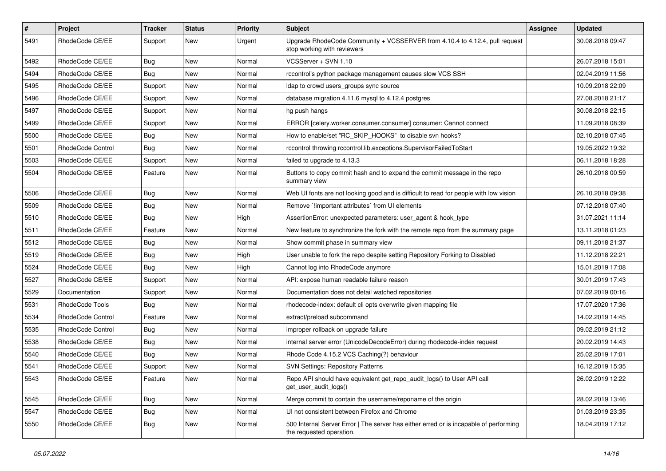| $\pmb{\#}$ | Project           | <b>Tracker</b> | <b>Status</b> | <b>Priority</b> | Subject                                                                                                           | <b>Assignee</b> | <b>Updated</b>   |
|------------|-------------------|----------------|---------------|-----------------|-------------------------------------------------------------------------------------------------------------------|-----------------|------------------|
| 5491       | RhodeCode CE/EE   | Support        | New           | Urgent          | Upgrade RhodeCode Community + VCSSERVER from 4.10.4 to 4.12.4, pull request<br>stop working with reviewers        |                 | 30.08.2018 09:47 |
| 5492       | RhodeCode CE/EE   | Bug            | New           | Normal          | VCSServer + SVN 1.10                                                                                              |                 | 26.07.2018 15:01 |
| 5494       | RhodeCode CE/EE   | Bug            | New           | Normal          | rccontrol's python package management causes slow VCS SSH                                                         |                 | 02.04.2019 11:56 |
| 5495       | RhodeCode CE/EE   | Support        | <b>New</b>    | Normal          | Idap to crowd users_groups sync source                                                                            |                 | 10.09.2018 22:09 |
| 5496       | RhodeCode CE/EE   | Support        | New           | Normal          | database migration 4.11.6 mysql to 4.12.4 postgres                                                                |                 | 27.08.2018 21:17 |
| 5497       | RhodeCode CE/EE   | Support        | New           | Normal          | hg push hangs                                                                                                     |                 | 30.08.2018 22:15 |
| 5499       | RhodeCode CE/EE   | Support        | New           | Normal          | ERROR [celery.worker.consumer.consumer] consumer: Cannot connect                                                  |                 | 11.09.2018 08:39 |
| 5500       | RhodeCode CE/EE   | Bug            | New           | Normal          | How to enable/set "RC_SKIP_HOOKS" to disable svn hooks?                                                           |                 | 02.10.2018 07:45 |
| 5501       | RhodeCode Control | Bug            | <b>New</b>    | Normal          | rccontrol throwing rccontrol.lib.exceptions.SupervisorFailedToStart                                               |                 | 19.05.2022 19:32 |
| 5503       | RhodeCode CE/EE   | Support        | New           | Normal          | failed to upgrade to 4.13.3                                                                                       |                 | 06.11.2018 18:28 |
| 5504       | RhodeCode CE/EE   | Feature        | New           | Normal          | Buttons to copy commit hash and to expand the commit message in the repo<br>summary view                          |                 | 26.10.2018 00:59 |
| 5506       | RhodeCode CE/EE   | Bug            | New           | Normal          | Web UI fonts are not looking good and is difficult to read for people with low vision                             |                 | 26.10.2018 09:38 |
| 5509       | RhodeCode CE/EE   | <b>Bug</b>     | New           | Normal          | Remove `limportant attributes` from UI elements                                                                   |                 | 07.12.2018 07:40 |
| 5510       | RhodeCode CE/EE   | <b>Bug</b>     | New           | High            | AssertionError: unexpected parameters: user_agent & hook_type                                                     |                 | 31.07.2021 11:14 |
| 5511       | RhodeCode CE/EE   | Feature        | New           | Normal          | New feature to synchronize the fork with the remote repo from the summary page                                    |                 | 13.11.2018 01:23 |
| 5512       | RhodeCode CE/EE   | Bug            | <b>New</b>    | Normal          | Show commit phase in summary view                                                                                 |                 | 09.11.2018 21:37 |
| 5519       | RhodeCode CE/EE   | Bug            | New           | High            | User unable to fork the repo despite setting Repository Forking to Disabled                                       |                 | 11.12.2018 22:21 |
| 5524       | RhodeCode CE/EE   | Bug            | New           | High            | Cannot log into RhodeCode anymore                                                                                 |                 | 15.01.2019 17:08 |
| 5527       | RhodeCode CE/EE   | Support        | New           | Normal          | API: expose human readable failure reason                                                                         |                 | 30.01.2019 17:43 |
| 5529       | Documentation     | Support        | New           | Normal          | Documentation does not detail watched repositories                                                                |                 | 07.02.2019 00:16 |
| 5531       | RhodeCode Tools   | <b>Bug</b>     | <b>New</b>    | Normal          | rhodecode-index: default cli opts overwrite given mapping file                                                    |                 | 17.07.2020 17:36 |
| 5534       | RhodeCode Control | Feature        | New           | Normal          | extract/preload subcommand                                                                                        |                 | 14.02.2019 14:45 |
| 5535       | RhodeCode Control | Bug            | New           | Normal          | improper rollback on upgrade failure                                                                              |                 | 09.02.2019 21:12 |
| 5538       | RhodeCode CE/EE   | Bug            | <b>New</b>    | Normal          | internal server error (UnicodeDecodeError) during rhodecode-index request                                         |                 | 20.02.2019 14:43 |
| 5540       | RhodeCode CE/EE   | Bug            | New           | Normal          | Rhode Code 4.15.2 VCS Caching(?) behaviour                                                                        |                 | 25.02.2019 17:01 |
| 5541       | RhodeCode CE/EE   | Support        | <b>New</b>    | Normal          | <b>SVN Settings: Repository Patterns</b>                                                                          |                 | 16.12.2019 15:35 |
| 5543       | RhodeCode CE/EE   | Feature        | New           | Normal          | Repo API should have equivalent get_repo_audit_logs() to User API call<br>get_user_audit_logs()                   |                 | 26.02.2019 12:22 |
| 5545       | RhodeCode CE/EE   | Bug            | New           | Normal          | Merge commit to contain the username/reponame of the origin                                                       |                 | 28.02.2019 13:46 |
| 5547       | RhodeCode CE/EE   | Bug            | New           | Normal          | UI not consistent between Firefox and Chrome                                                                      |                 | 01.03.2019 23:35 |
| 5550       | RhodeCode CE/EE   | <b>Bug</b>     | New           | Normal          | 500 Internal Server Error   The server has either erred or is incapable of performing<br>the requested operation. |                 | 18.04.2019 17:12 |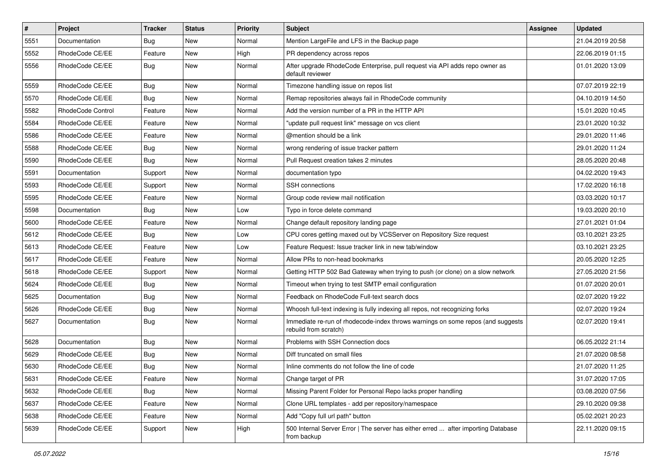| $\#$ | Project                  | <b>Tracker</b> | <b>Status</b> | <b>Priority</b> | Subject                                                                                                  | Assignee | <b>Updated</b>   |
|------|--------------------------|----------------|---------------|-----------------|----------------------------------------------------------------------------------------------------------|----------|------------------|
| 5551 | Documentation            | <b>Bug</b>     | New           | Normal          | Mention LargeFile and LFS in the Backup page                                                             |          | 21.04.2019 20:58 |
| 5552 | RhodeCode CE/EE          | Feature        | <b>New</b>    | High            | PR dependency across repos                                                                               |          | 22.06.2019 01:15 |
| 5556 | RhodeCode CE/EE          | Bug            | New           | Normal          | After upgrade RhodeCode Enterprise, pull request via API adds repo owner as<br>default reviewer          |          | 01.01.2020 13:09 |
| 5559 | RhodeCode CE/EE          | Bug            | New           | Normal          | Timezone handling issue on repos list                                                                    |          | 07.07.2019 22:19 |
| 5570 | RhodeCode CE/EE          | Bug            | New           | Normal          | Remap repositories always fail in RhodeCode community                                                    |          | 04.10.2019 14:50 |
| 5582 | <b>RhodeCode Control</b> | Feature        | New           | Normal          | Add the version number of a PR in the HTTP API                                                           |          | 15.01.2020 10:45 |
| 5584 | RhodeCode CE/EE          | Feature        | New           | Normal          | "update pull request link" message on vcs client                                                         |          | 23.01.2020 10:32 |
| 5586 | RhodeCode CE/EE          | Feature        | New           | Normal          | @mention should be a link                                                                                |          | 29.01.2020 11:46 |
| 5588 | RhodeCode CE/EE          | Bug            | New           | Normal          | wrong rendering of issue tracker pattern                                                                 |          | 29.01.2020 11:24 |
| 5590 | RhodeCode CE/EE          | Bug            | New           | Normal          | Pull Request creation takes 2 minutes                                                                    |          | 28.05.2020 20:48 |
| 5591 | Documentation            | Support        | New           | Normal          | documentation typo                                                                                       |          | 04.02.2020 19:43 |
| 5593 | RhodeCode CE/EE          | Support        | New           | Normal          | SSH connections                                                                                          |          | 17.02.2020 16:18 |
| 5595 | RhodeCode CE/EE          | Feature        | New           | Normal          | Group code review mail notification                                                                      |          | 03.03.2020 10:17 |
| 5598 | Documentation            | Bug            | <b>New</b>    | Low             | Typo in force delete command                                                                             |          | 19.03.2020 20:10 |
| 5600 | RhodeCode CE/EE          | Feature        | New           | Normal          | Change default repository landing page                                                                   |          | 27.01.2021 01:04 |
| 5612 | RhodeCode CE/EE          | Bug            | New           | Low             | CPU cores getting maxed out by VCSServer on Repository Size request                                      |          | 03.10.2021 23:25 |
| 5613 | RhodeCode CE/EE          | Feature        | New           | Low             | Feature Request: Issue tracker link in new tab/window                                                    |          | 03.10.2021 23:25 |
| 5617 | RhodeCode CE/EE          | Feature        | New           | Normal          | Allow PRs to non-head bookmarks                                                                          |          | 20.05.2020 12:25 |
| 5618 | RhodeCode CE/EE          | Support        | New           | Normal          | Getting HTTP 502 Bad Gateway when trying to push (or clone) on a slow network                            |          | 27.05.2020 21:56 |
| 5624 | RhodeCode CE/EE          | Bug            | New           | Normal          | Timeout when trying to test SMTP email configuration                                                     |          | 01.07.2020 20:01 |
| 5625 | Documentation            | Bug            | New           | Normal          | Feedback on RhodeCode Full-text search docs                                                              |          | 02.07.2020 19:22 |
| 5626 | RhodeCode CE/EE          | Bug            | New           | Normal          | Whoosh full-text indexing is fully indexing all repos, not recognizing forks                             |          | 02.07.2020 19:24 |
| 5627 | Documentation            | Bug            | New           | Normal          | Immediate re-run of rhodecode-index throws warnings on some repos (and suggests<br>rebuild from scratch) |          | 02.07.2020 19:41 |
| 5628 | Documentation            | Bug            | New           | Normal          | Problems with SSH Connection docs                                                                        |          | 06.05.2022 21:14 |
| 5629 | RhodeCode CE/EE          | Bug            | New           | Normal          | Diff truncated on small files                                                                            |          | 21.07.2020 08:58 |
| 5630 | RhodeCode CE/EE          | Bug            | New           | Normal          | Inline comments do not follow the line of code                                                           |          | 21.07.2020 11:25 |
| 5631 | RhodeCode CE/EE          | Feature        | New           | Normal          | Change target of PR                                                                                      |          | 31.07.2020 17:05 |
| 5632 | RhodeCode CE/EE          | <b>Bug</b>     | New           | Normal          | Missing Parent Folder for Personal Repo lacks proper handling                                            |          | 03.08.2020 07:56 |
| 5637 | RhodeCode CE/EE          | Feature        | New           | Normal          | Clone URL templates - add per repository/namespace                                                       |          | 29.10.2020 09:38 |
| 5638 | RhodeCode CE/EE          | Feature        | New           | Normal          | Add "Copy full url path" button                                                                          |          | 05.02.2021 20:23 |
| 5639 | RhodeCode CE/EE          | Support        | New           | High            | 500 Internal Server Error   The server has either erred  after importing Database<br>from backup         |          | 22.11.2020 09:15 |